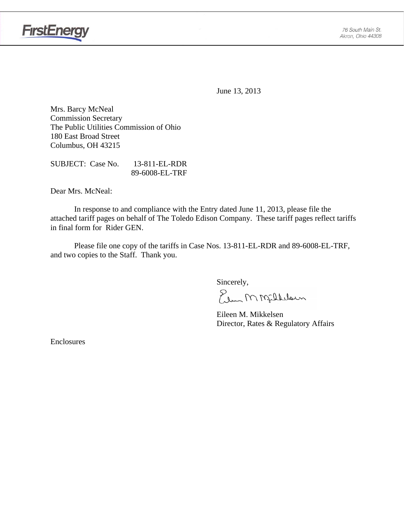

June 13, 2013

Mrs. Barcy McNeal Commission Secretary The Public Utilities Commission of Ohio 180 East Broad Street Columbus, OH 43215

SUBJECT: Case No. 13-811-EL-RDR 89-6008-EL-TRF

Dear Mrs. McNeal:

 In response to and compliance with the Entry dated June 11, 2013, please file the attached tariff pages on behalf of The Toledo Edison Company. These tariff pages reflect tariffs in final form for Rider GEN.

Please file one copy of the tariffs in Case Nos. 13-811-EL-RDR and 89-6008-EL-TRF, and two copies to the Staff. Thank you.

Sincerely,

Elen M Milleloun

 Eileen M. Mikkelsen Director, Rates & Regulatory Affairs

Enclosures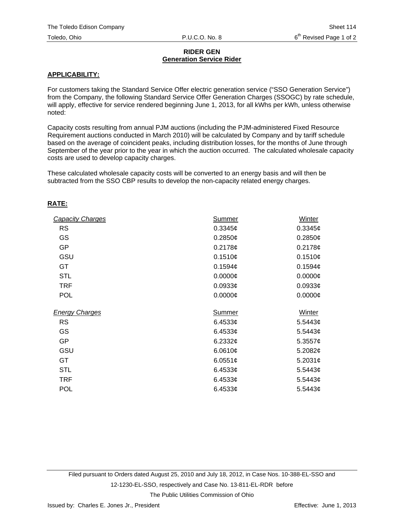#### **RIDER GEN Generation Service Rider**

#### **APPLICABILITY:**

For customers taking the Standard Service Offer electric generation service ("SSO Generation Service") from the Company, the following Standard Service Offer Generation Charges (SSOGC) by rate schedule, will apply, effective for service rendered beginning June 1, 2013, for all kWhs per kWh, unless otherwise noted:

Capacity costs resulting from annual PJM auctions (including the PJM-administered Fixed Resource Requirement auctions conducted in March 2010) will be calculated by Company and by tariff schedule based on the average of coincident peaks, including distribution losses, for the months of June through September of the year prior to the year in which the auction occurred. The calculated wholesale capacity costs are used to develop capacity charges.

These calculated wholesale capacity costs will be converted to an energy basis and will then be subtracted from the SSO CBP results to develop the non-capacity related energy charges.

#### **RATE:**

| <b>Capacity Charges</b> | <b>Summer</b>        | Winter              |  |
|-------------------------|----------------------|---------------------|--|
| <b>RS</b>               | 0.3345c              | 0.3345¢             |  |
| GS                      | 0.2850¢              | 0.2850¢             |  |
| <b>GP</b>               | 0.2178c              | 0.2178c             |  |
| GSU                     | 0.1510¢              | 0.1510¢             |  |
| <b>GT</b>               | 0.1594c              | 0.1594c             |  |
| <b>STL</b>              | 0.0000c              | $0.0000$ ¢          |  |
| <b>TRF</b>              | $0.0933$ ¢           | $0.0933$ ¢          |  |
| <b>POL</b>              | $0.0000$ ¢           | $0.0000$ ¢          |  |
| <b>Energy Charges</b>   | Summer               | Winter              |  |
| <b>RS</b>               | $6.4533$ ¢           | 5.5443 $\phi$       |  |
| GS                      | $6.4533$ ¢           | 5.5443 $\phi$       |  |
| <b>GP</b>               | 6.2332 $\phi$        | 5.3557 $\phi$       |  |
| GSU                     | 6.0610 $\phi$        | 5.2082 $¢$          |  |
| GT                      | 6.0551 $\phi$        | 5.2031 $\phi$       |  |
| <b>STL</b>              | 6.4533 $\phi$        | 5.5443c             |  |
| TRF                     | 6.4533 $\phi$        | 5.5443 $\phi$       |  |
| <b>POL</b>              | 6.4533 $\mathfrak c$ | $5.5443\mathcal{C}$ |  |

Filed pursuant to Orders dated August 25, 2010 and July 18, 2012, in Case Nos. 10-388-EL-SSO and 12-1230-EL-SSO, respectively and Case No. 13-811-EL-RDR before

The Public Utilities Commission of Ohio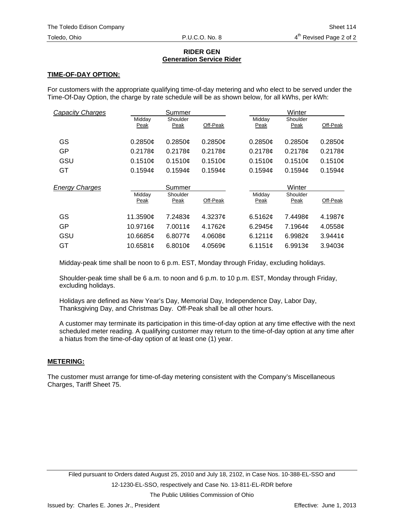#### **RIDER GEN Generation Service Rider**

### **TIME-OF-DAY OPTION:**

For customers with the appropriate qualifying time-of-day metering and who elect to be served under the Time-Of-Day Option, the charge by rate schedule will be as shown below, for all kWhs, per kWh:

| <b>Capacity Charges</b> |          | Summer        |          |                 | Winter        |          |  |
|-------------------------|----------|---------------|----------|-----------------|---------------|----------|--|
|                         | Midday   | Shoulder      |          | Midday          | Shoulder      |          |  |
|                         | Peak     | Peak          | Off-Peak | Peak            | Peak          | Off-Peak |  |
|                         |          |               |          |                 |               |          |  |
| GS                      | 0.2850c  | 0.2850c       | 0.2850c  | 0.2850c         | 0.2850c       | 0.2850¢  |  |
| GP                      | 0.2178c  | 0.2178c       | 0.2178c  | 0.2178c         | 0.2178c       | 0.2178c  |  |
| GSU                     | 0.1510c  | 0.1510c       | 0.1510c  | 0.1510c         | 0.1510c       | 0.1510c  |  |
| GT                      | 0.1594c  | 0.1594c       | 0.1594c  | 0.1594c         | 0.1594c       | 0.1594c  |  |
|                         |          |               |          |                 |               |          |  |
|                         |          |               |          |                 |               |          |  |
| <b>Energy Charges</b>   |          | Summer        |          |                 | Winter        |          |  |
|                         | Midday   | Shoulder      |          | Midday          | Shoulder      |          |  |
|                         | Peak     | Peak          | Off-Peak | Peak            | Peak          | Off-Peak |  |
| GS                      | 11.3590¢ | 7.2483¢       | 4.3237c  | 6.5162 $\sigma$ | 7.4498¢       | 4.1987¢  |  |
| GP                      | 10.9716¢ | 7.0011c       | 4.1762¢  | 6.2945c         | 7.1964¢       | 4.0558¢  |  |
| GSU                     | 10.6685¢ | 6.8077 $\phi$ | 4.0608c  | 6.1211¢         | 6.9982 $\phi$ | 3.9441¢  |  |

Midday-peak time shall be noon to 6 p.m. EST, Monday through Friday, excluding holidays.

Shoulder-peak time shall be 6 a.m. to noon and 6 p.m. to 10 p.m. EST, Monday through Friday, excluding holidays.

Holidays are defined as New Year's Day, Memorial Day, Independence Day, Labor Day, Thanksgiving Day, and Christmas Day. Off-Peak shall be all other hours.

A customer may terminate its participation in this time-of-day option at any time effective with the next scheduled meter reading. A qualifying customer may return to the time-of-day option at any time after a hiatus from the time-of-day option of at least one (1) year.

## **METERING:**

The customer must arrange for time-of-day metering consistent with the Company's Miscellaneous Charges, Tariff Sheet 75.

The Public Utilities Commission of Ohio